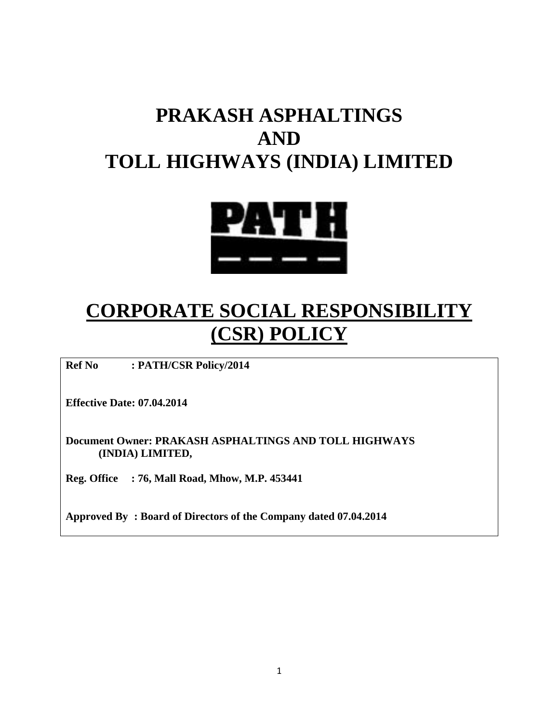# **PRAKASH ASPHALTINGS AND TOLL HIGHWAYS (INDIA) LIMITED**



# **CORPORATE SOCIAL RESPONSIBILITY (CSR) POLICY**

**Ref No : PATH/CSR Policy/2014**

**Effective Date: 07.04.2014**

**Document Owner: PRAKASH ASPHALTINGS AND TOLL HIGHWAYS (INDIA) LIMITED,**

**Reg. Office : 76, Mall Road, Mhow, M.P. 453441**

**Approved By : Board of Directors of the Company dated 07.04.2014**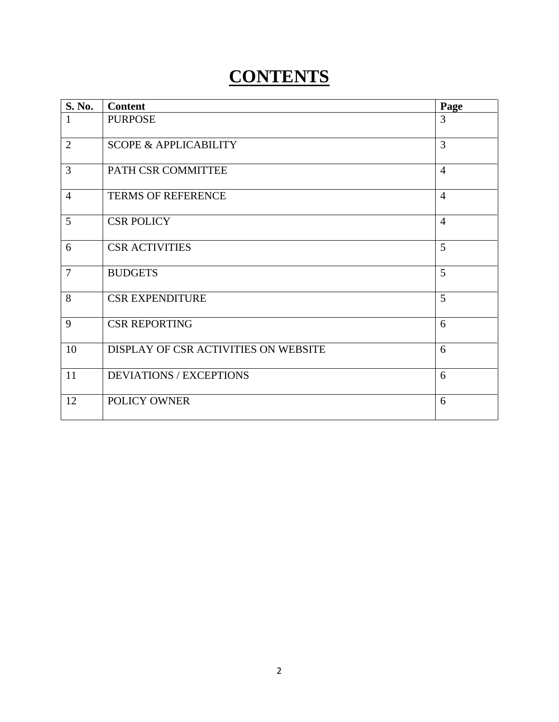# **CONTENTS**

| S. No.         | <b>Content</b>                       | Page           |
|----------------|--------------------------------------|----------------|
| $\mathbf{1}$   | <b>PURPOSE</b>                       | 3              |
| $\overline{2}$ | <b>SCOPE &amp; APPLICABILITY</b>     | 3              |
| 3              | PATH CSR COMMITTEE                   | $\overline{4}$ |
| $\overline{4}$ | <b>TERMS OF REFERENCE</b>            | $\overline{4}$ |
| 5              | <b>CSR POLICY</b>                    | $\overline{4}$ |
| 6              | <b>CSR ACTIVITIES</b>                | 5              |
| $\overline{7}$ | <b>BUDGETS</b>                       | 5              |
| 8              | <b>CSR EXPENDITURE</b>               | 5              |
| 9              | <b>CSR REPORTING</b>                 | 6              |
| 10             | DISPLAY OF CSR ACTIVITIES ON WEBSITE | 6              |
| 11             | <b>DEVIATIONS / EXCEPTIONS</b>       | 6              |
| 12             | POLICY OWNER                         | 6              |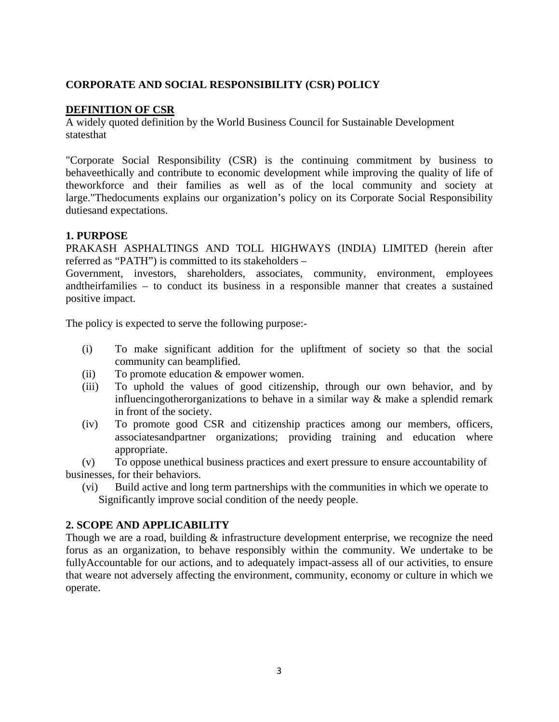## **CORPORATE AND SOCIAL RESPONSIBILITY (CSR) POLICY**

### **DEFINITION OF CSR**

A widely quoted definition by the World Business Council for Sustainable Development statesthat

"Corporate Social Responsibility (CSR) is the continuing commitment by business to behaveethically and contribute to economic development while improving the quality of life of theworkforce and their families as well as of the local community and society at large."Thedocuments explains our organization's policy on its Corporate Social Responsibility dutiesand expectations.

## **1. PURPOSE**

PRAKASH ASPHALTINGS AND TOLL HIGHWAYS (INDIA) LIMITED (herein after referred as "PATH") is committed to its stakeholders –

Government, investors, shareholders, associates, community, environment, employees andtheirfamilies – to conduct its business in a responsible manner that creates a sustained positive impact.

The policy is expected to serve the following purpose:-

- (i) To make significant addition for the upliftment of society so that the social community can beamplified.
- (ii) To promote education  $&$  empower women.
- (iii) To uphold the values of good citizenship, through our own behavior, and by influencingotherorganizations to behave in a similar way & make a splendid remark in front of the society.
- (iv) To promote good CSR and citizenship practices among our members, officers, associatesandpartner organizations; providing training and education where appropriate.

(v) To oppose unethical business practices and exert pressure to ensure accountability of businesses, for their behaviors.

(vi) Build active and long term partnerships with the communities in which we operate to Significantly improve social condition of the needy people.

#### **2. SCOPE AND APPLICABILITY**

Though we are a road, building & infrastructure development enterprise, we recognize the need forus as an organization, to behave responsibly within the community. We undertake to be fullyAccountable for our actions, and to adequately impact-assess all of our activities, to ensure that weare not adversely affecting the environment, community, economy or culture in which we operate.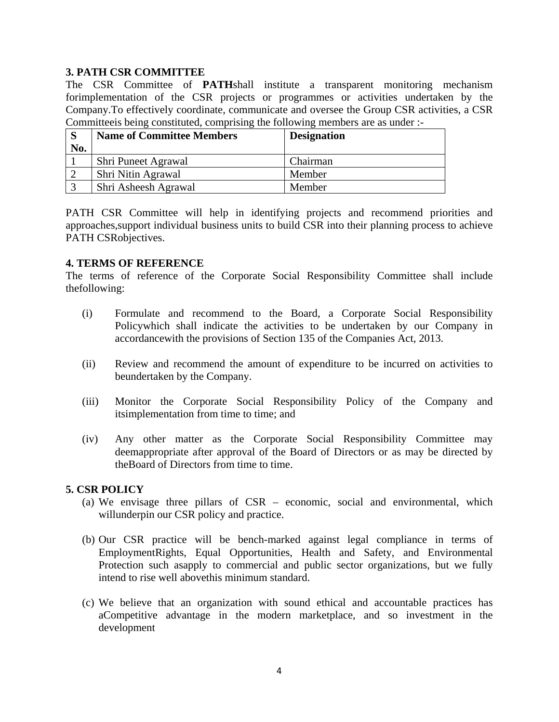## **3. PATH CSR COMMITTEE**

The CSR Committee of **PATH**shall institute a transparent monitoring mechanism forimplementation of the CSR projects or programmes or activities undertaken by the Company.To effectively coordinate, communicate and oversee the Group CSR activities, a CSR Committeeis being constituted, comprising the following members are as under :-

|     | <b>Name of Committee Members</b> | <b>Designation</b> |
|-----|----------------------------------|--------------------|
| No. |                                  |                    |
|     | Shri Puneet Agrawal              | Chairman           |
|     | Shri Nitin Agrawal               | Member             |
|     | Shri Asheesh Agrawal             | Member             |

PATH CSR Committee will help in identifying projects and recommend priorities and approaches,support individual business units to build CSR into their planning process to achieve PATH CSRobjectives.

#### **4. TERMS OF REFERENCE**

The terms of reference of the Corporate Social Responsibility Committee shall include thefollowing:

- (i) Formulate and recommend to the Board, a Corporate Social Responsibility Policywhich shall indicate the activities to be undertaken by our Company in accordancewith the provisions of Section 135 of the Companies Act, 2013.
- (ii) Review and recommend the amount of expenditure to be incurred on activities to beundertaken by the Company.
- (iii) Monitor the Corporate Social Responsibility Policy of the Company and itsimplementation from time to time; and
- (iv) Any other matter as the Corporate Social Responsibility Committee may deemappropriate after approval of the Board of Directors or as may be directed by theBoard of Directors from time to time.

#### **5. CSR POLICY**

- (a) We envisage three pillars of CSR economic, social and environmental, which willunderpin our CSR policy and practice.
- (b) Our CSR practice will be bench-marked against legal compliance in terms of EmploymentRights, Equal Opportunities, Health and Safety, and Environmental Protection such asapply to commercial and public sector organizations, but we fully intend to rise well abovethis minimum standard.
- (c) We believe that an organization with sound ethical and accountable practices has aCompetitive advantage in the modern marketplace, and so investment in the development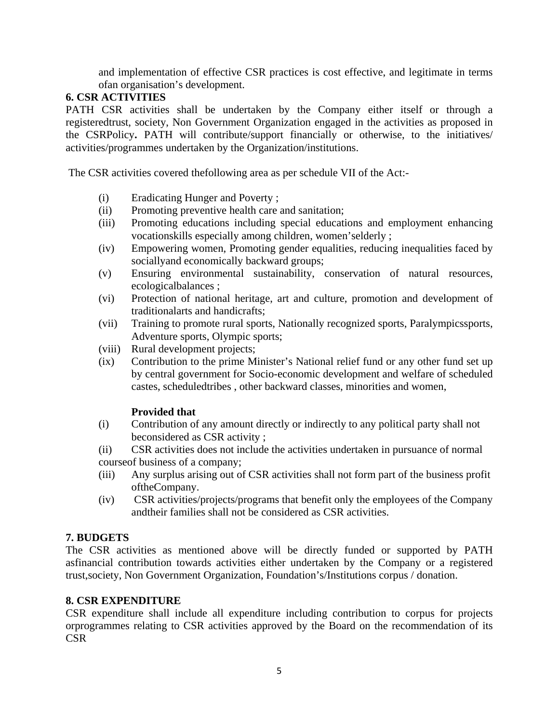and implementation of effective CSR practices is cost effective, and legitimate in terms ofan organisation's development.

## **6. CSR ACTIVITIES**

PATH CSR activities shall be undertaken by the Company either itself or through a registeredtrust, society, Non Government Organization engaged in the activities as proposed in the CSRPolicy**.** PATH will contribute/support financially or otherwise, to the initiatives/ activities/programmes undertaken by the Organization/institutions.

The CSR activities covered thefollowing area as per schedule VII of the Act:-

- (i) Eradicating Hunger and Poverty ;
- (ii) Promoting preventive health care and sanitation;
- (iii) Promoting educations including special educations and employment enhancing vocationskills especially among children, women'selderly ;
- (iv) Empowering women, Promoting gender equalities, reducing inequalities faced by sociallyand economically backward groups;
- (v) Ensuring environmental sustainability, conservation of natural resources, ecologicalbalances ;
- (vi) Protection of national heritage, art and culture, promotion and development of traditionalarts and handicrafts;
- (vii) Training to promote rural sports, Nationally recognized sports, Paralympicssports, Adventure sports, Olympic sports;
- (viii) Rural development projects;
- (ix) Contribution to the prime Minister's National relief fund or any other fund set up by central government for Socio-economic development and welfare of scheduled castes, scheduledtribes , other backward classes, minorities and women,

#### **Provided that**

(i) Contribution of any amount directly or indirectly to any political party shall not beconsidered as CSR activity ;

(ii) CSR activities does not include the activities undertaken in pursuance of normal courseof business of a company;

- (iii) Any surplus arising out of CSR activities shall not form part of the business profit oftheCompany.
- (iv) CSR activities/projects/programs that benefit only the employees of the Company andtheir families shall not be considered as CSR activities.

#### **7. BUDGETS**

The CSR activities as mentioned above will be directly funded or supported by PATH asfinancial contribution towards activities either undertaken by the Company or a registered trust,society, Non Government Organization, Foundation's/Institutions corpus / donation.

#### **8. CSR EXPENDITURE**

CSR expenditure shall include all expenditure including contribution to corpus for projects orprogrammes relating to CSR activities approved by the Board on the recommendation of its CSR